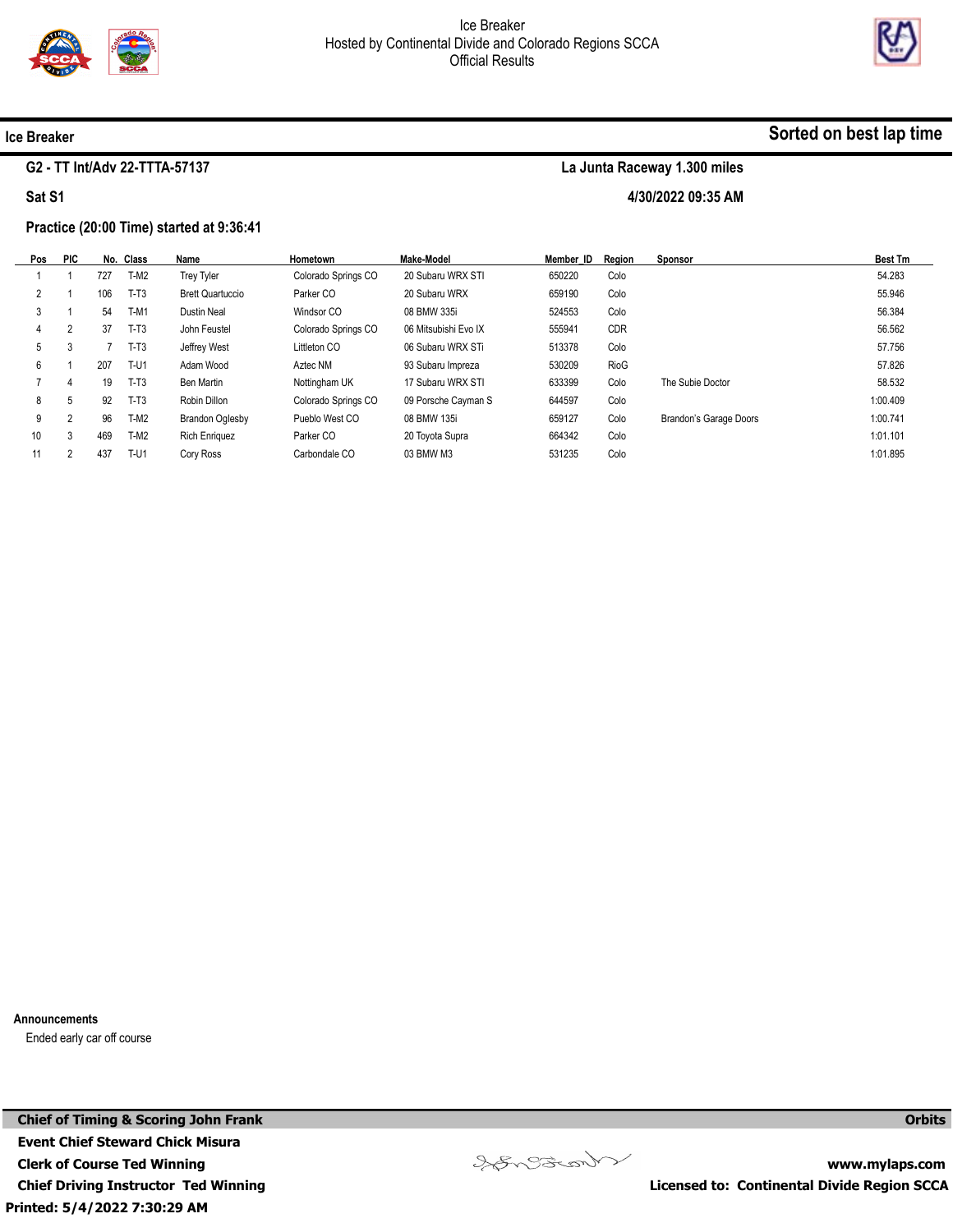



#### Ice Breaker

#### G2 - TT Int/Adv 22-TTTA-57137

Sat S1

#### Practice (20:00 Time) started at 9:36:41

| Pos                  | <b>PIC</b>     |     | No. Class   | Name                    | Hometown            | Make-Model           | Member ID | Reaion     | <b>Sponsor</b>         | <b>Best Tm</b> |
|----------------------|----------------|-----|-------------|-------------------------|---------------------|----------------------|-----------|------------|------------------------|----------------|
|                      |                | 727 | $T-M2$      | <b>Trey Tyler</b>       | Colorado Springs CO | 20 Subaru WRX STI    | 650220    | Colo       |                        | 54.283         |
| $\mathbf{2}^{\circ}$ |                | 106 | $T-T3$      | <b>Brett Quartuccio</b> | Parker CO           | 20 Subaru WRX        | 659190    | Colo       |                        | 55.946         |
| 3                    |                | 54  | $T-M1$      | Dustin Neal             | Windsor CO          | 08 BMW 335i          | 524553    | Colo       |                        | 56.384         |
| 4                    | $\overline{2}$ | 37  | $T-T3$      | John Feustel            | Colorado Springs CO | 06 Mitsubishi Evo IX | 555941    | <b>CDR</b> |                        | 56.562         |
| 5                    | 3              |     | $T-T3$      | Jeffrey West            | Littleton CO        | 06 Subaru WRX STi    | 513378    | Colo       |                        | 57.756         |
| 6                    |                | 207 | <b>T-U1</b> | Adam Wood               | Aztec NM            | 93 Subaru Impreza    | 530209    | RioG       |                        | 57.826         |
|                      | 4              | 19  | $T-T3$      | Ben Martin              | Nottingham UK       | 17 Subaru WRX STI    | 633399    | Colo       | The Subie Doctor       | 58.532         |
| 8                    | 5              | 92  | $T-T3$      | Robin Dillon            | Colorado Springs CO | 09 Porsche Cayman S  | 644597    | Colo       |                        | 1:00.409       |
| 9                    | 2              | 96  | $T-M2$      | <b>Brandon Oglesby</b>  | Pueblo West CO      | 08 BMW 135i          | 659127    | Colo       | Brandon's Garage Doors | 1:00.741       |
| 10 <sup>°</sup>      | 3              | 469 | $T-M2$      | <b>Rich Enriquez</b>    | Parker CO           | 20 Toyota Supra      | 664342    | Colo       |                        | 1:01.101       |
|                      | C.             | 437 | T-U1        | Cory Ross               | Carbondale CO       | 03 BMW M3            | 531235    | Colo       |                        | 1:01.895       |
|                      |                |     |             |                         |                     |                      |           |            |                        |                |

Announcements

Ended early car off course

Printed: 5/4/2022 7:30:29 AM Chief of Timing & Scoring John Frank Event Chief Steward Chick Misura Clerk of Course Ted Winning Chief Driving Instructor Ted Winning



www.mylaps.com Licensed to: Continental Divide Region SCCA

**Orbits** 

## Sorted on best lap time

La Junta Raceway 1.300 miles 4/30/2022 09:35 AM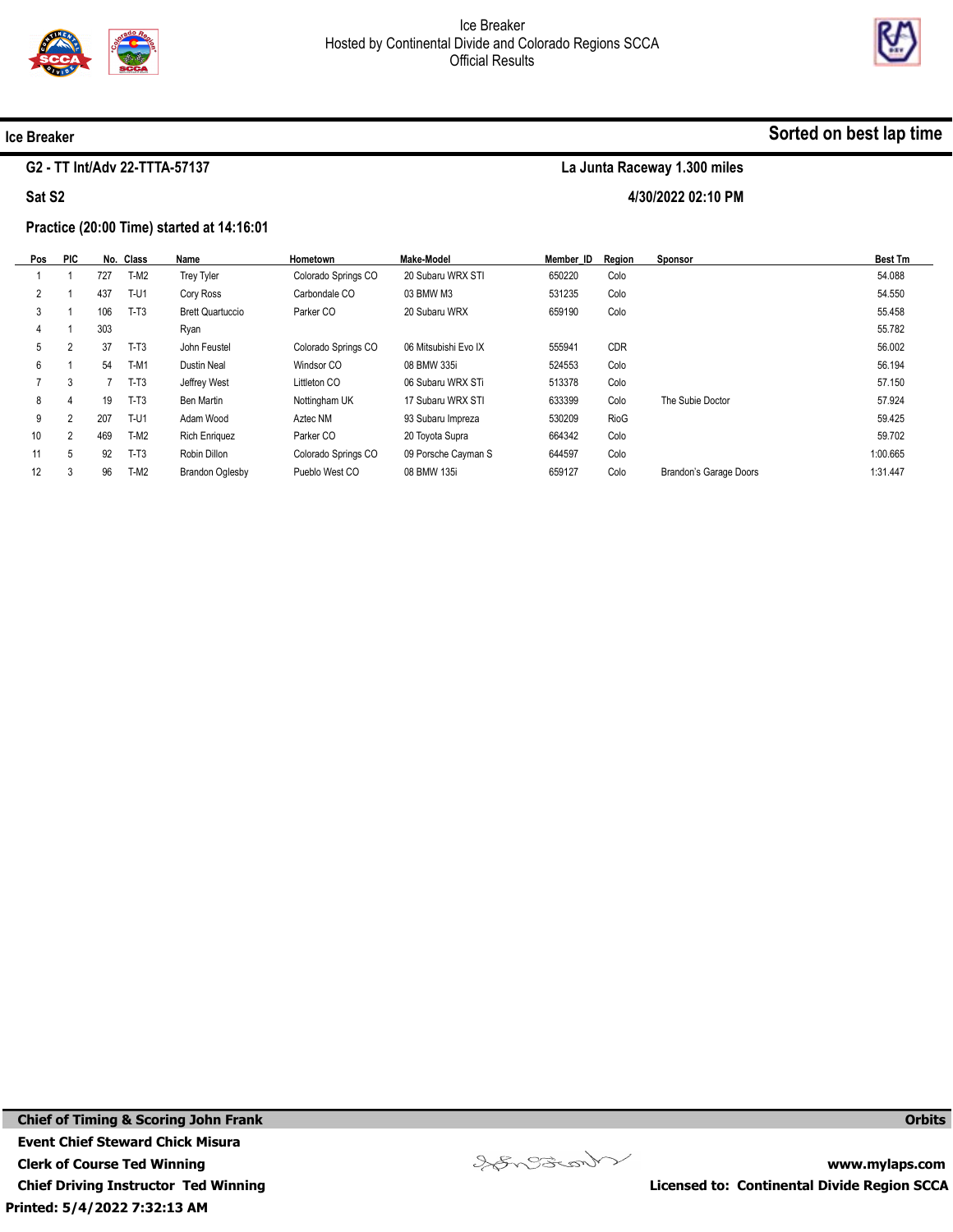



#### Ice Breaker

#### G2 - TT Int/Adv 22-TTTA-57137

Sat S2

#### Practice (20:00 Time) started at 14:16:01

| Pos | <b>PIC</b>     |     | No. Class | Name                    | Hometown            | Make-Model           | Member ID | Reaion | <b>Sponsor</b>         | <b>Best Tm</b> |
|-----|----------------|-----|-----------|-------------------------|---------------------|----------------------|-----------|--------|------------------------|----------------|
|     |                | 727 | $T-M2$    | <b>Trey Tyler</b>       | Colorado Springs CO | 20 Subaru WRX STI    | 650220    | Colo   |                        | 54.088         |
|     |                | 437 | $T-U1$    | Cory Ross               | Carbondale CO       | 03 BMW M3            | 531235    | Colo   |                        | 54.550         |
|     |                | 106 | $T-T3$    | <b>Brett Quartuccio</b> | Parker CO           | 20 Subaru WRX        | 659190    | Colo   |                        | 55.458         |
| 4   |                | 303 |           | Ryan                    |                     |                      |           |        |                        | 55.782         |
| 5   | 2              | 37  | $T-T3$    | John Feustel            | Colorado Springs CO | 06 Mitsubishi Evo IX | 555941    | CDR    |                        | 56.002         |
| 6   |                | 54  | $T-M1$    | <b>Dustin Neal</b>      | Windsor CO          | 08 BMW 335i          | 524553    | Colo   |                        | 56.194         |
|     | 3              |     | $T-T3$    | Jeffrey West            | Littleton CO        | 06 Subaru WRX STi    | 513378    | Colo   |                        | 57.150         |
| 8   | 4              | 19  | $T-T3$    | Ben Martin              | Nottingham UK       | 17 Subaru WRX STI    | 633399    | Colo   | The Subie Doctor       | 57.924         |
| 9   | 2              | 207 | $T-U1$    | Adam Wood               | Aztec NM            | 93 Subaru Impreza    | 530209    | RioG   |                        | 59.425         |
| 10  | $\overline{2}$ | 469 | $T-M2$    | <b>Rich Enriquez</b>    | Parker CO           | 20 Toyota Supra      | 664342    | Colo   |                        | 59.702         |
| 11  | 5              | 92  | $T-T3$    | Robin Dillon            | Colorado Springs CO | 09 Porsche Cayman S  | 644597    | Colo   |                        | 1:00.665       |
| 12  | 3              | 96  | $T-M2$    | <b>Brandon Oglesby</b>  | Pueblo West CO      | 08 BMW 135i          | 659127    | Colo   | Brandon's Garage Doors | 1:31.447       |



www.mylaps.com Licensed to: Continental Divide Region SCCA

**Orbits** 

## Sorted on best lap time

La Junta Raceway 1.300 miles 4/30/2022 02:10 PM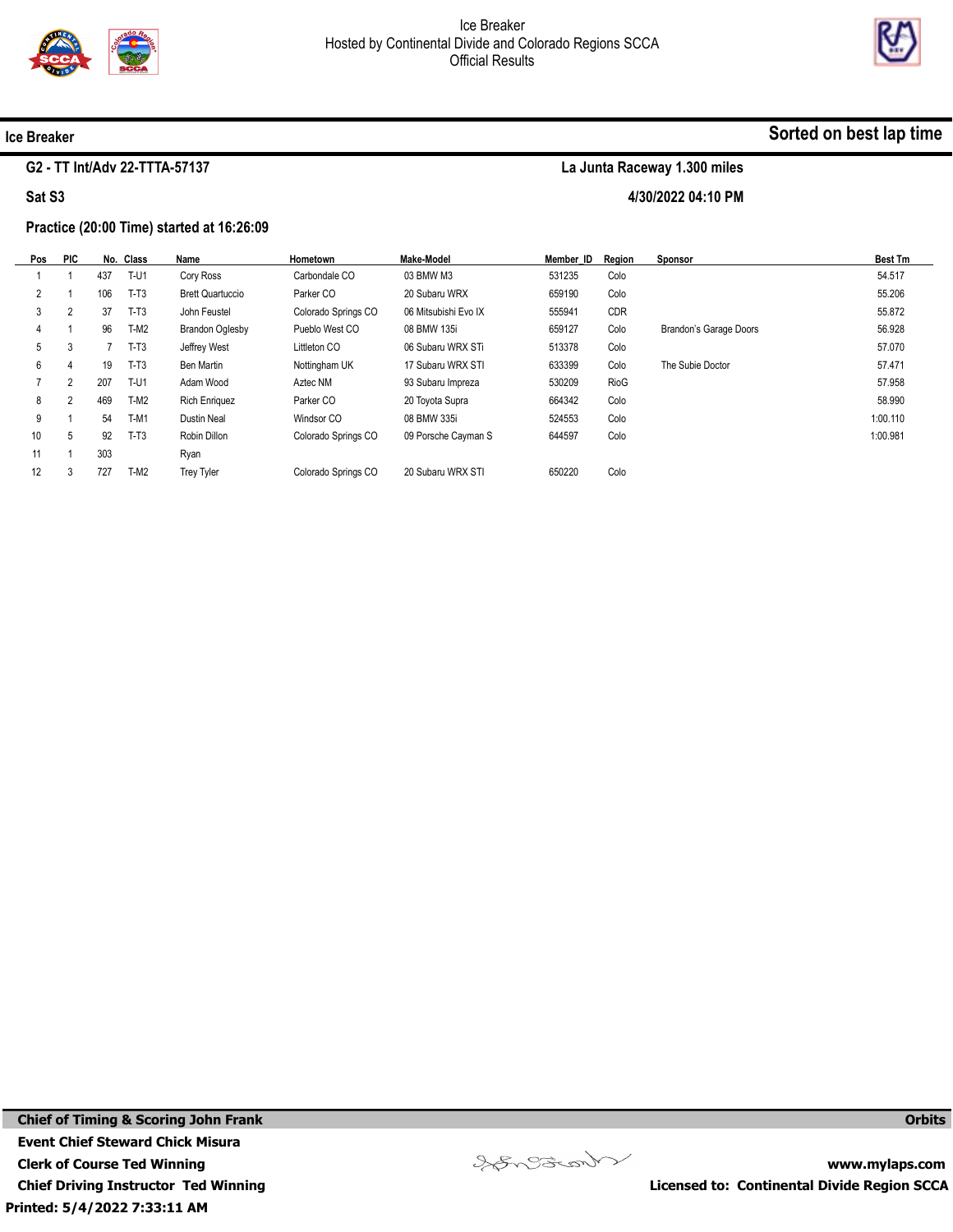



#### Ice Breaker

#### G2 - TT Int/Adv 22-TTTA-57137

Sat S3

#### Practice (20:00 Time) started at 16:26:09

| Pos            | <b>PIC</b>     |     | No. Class   | Name                    | Hometown            | Make-Model           | Member ID | Reaion     | Sponsor                | <b>Best Tm</b> |
|----------------|----------------|-----|-------------|-------------------------|---------------------|----------------------|-----------|------------|------------------------|----------------|
|                |                | 437 | T-U1        | Cory Ross               | Carbondale CO       | 03 BMW M3            | 531235    | Colo       |                        | 54.517         |
| $\overline{2}$ |                | 106 | $T-T3$      | <b>Brett Quartuccio</b> | Parker CO           | 20 Subaru WRX        | 659190    | Colo       |                        | 55.206         |
| 3              | $\overline{2}$ | 37  | $T-T3$      | John Feustel            | Colorado Springs CO | 06 Mitsubishi Evo IX | 555941    | <b>CDR</b> |                        | 55.872         |
| 4              |                | 96  | $T-M2$      | <b>Brandon Oglesby</b>  | Pueblo West CO      | 08 BMW 135i          | 659127    | Colo       | Brandon's Garage Doors | 56.928         |
| 5              | 3              |     | $T-T3$      | Jeffrey West            | Littleton CO        | 06 Subaru WRX STi    | 513378    | Colo       |                        | 57.070         |
| 6              | 4              | 19  | $T-T3$      | Ben Martin              | Nottingham UK       | 17 Subaru WRX STI    | 633399    | Colo       | The Subie Doctor       | 57.471         |
|                | $\overline{2}$ | 207 | <b>T-U1</b> | Adam Wood               | Aztec NM            | 93 Subaru Impreza    | 530209    | RioG       |                        | 57.958         |
| 8              | $\overline{2}$ | 469 | T-M2        | <b>Rich Enriquez</b>    | Parker CO           | 20 Toyota Supra      | 664342    | Colo       |                        | 58.990         |
| 9              |                | 54  | $T-M1$      | <b>Dustin Neal</b>      | Windsor CO          | 08 BMW 335i          | 524553    | Colo       |                        | 1:00.110       |
| 10             | 5              | 92  | $T-T3$      | Robin Dillon            | Colorado Springs CO | 09 Porsche Cayman S  | 644597    | Colo       |                        | 1:00.981       |
| 11             |                | 303 |             | Ryan                    |                     |                      |           |            |                        |                |
| 12             | 3              | 727 | $T-M2$      | <b>Trey Tyler</b>       | Colorado Springs CO | 20 Subaru WRX STI    | 650220    | Colo       |                        |                |

Songonal

www.mylaps.com Licensed to: Continental Divide Region SCCA

**Orbits** 

## Sorted on best lap time

La Junta Raceway 1.300 miles 4/30/2022 04:10 PM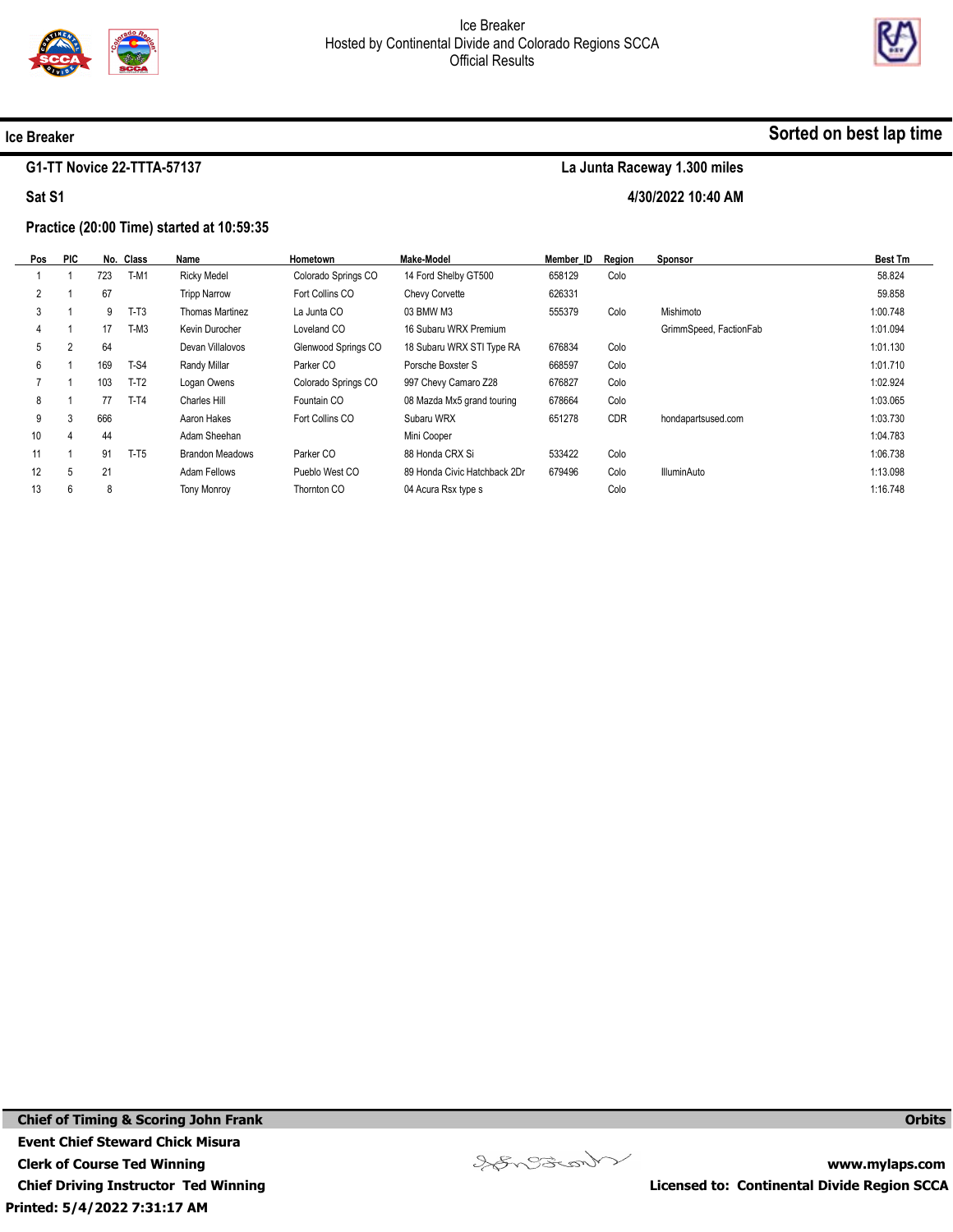



Sorted on best lap time

#### Ice Breaker

#### G1-TT Novice 22-TTTA-57137

Sat S1

## La Junta Raceway 1.300 miles

4/30/2022 10:40 AM

#### Practice (20:00 Time) started at 10:59:35

| Pos | <b>PIC</b> |     | No. Class | Name                   | Hometown            | Make-Model                   | Member ID | Region     | Sponsor                | <b>Best Tm</b> |
|-----|------------|-----|-----------|------------------------|---------------------|------------------------------|-----------|------------|------------------------|----------------|
|     |            | 723 | $T-M1$    | <b>Ricky Medel</b>     | Colorado Springs CO | 14 Ford Shelby GT500         | 658129    | Colo       |                        | 58.824         |
| 2   |            | 67  |           | <b>Tripp Narrow</b>    | Fort Collins CO     | Chevy Corvette               | 626331    |            |                        | 59.858         |
| 3   |            | 9   | $T-T3$    | Thomas Martinez        | La Junta CO         | 03 BMW M3                    | 555379    | Colo       | Mishimoto              | 1:00.748       |
| 4   |            | 17  | $T-M3$    | Kevin Durocher         | Loveland CO         | 16 Subaru WRX Premium        |           |            | GrimmSpeed, FactionFab | 1:01.094       |
| 5   | 2          | 64  |           | Devan Villalovos       | Glenwood Springs CO | 18 Subaru WRX STI Type RA    | 676834    | Colo       |                        | 1:01.130       |
| 6   |            | 169 | $T-S4$    | Randy Millar           | Parker CO           | Porsche Boxster S            | 668597    | Colo       |                        | 1:01.710       |
|     |            | 103 | $T-T2$    | Logan Owens            | Colorado Springs CO | 997 Chevy Camaro Z28         | 676827    | Colo       |                        | 1:02.924       |
| 8   |            | 77  | $T-T4$    | <b>Charles Hill</b>    | Fountain CO         | 08 Mazda Mx5 grand touring   | 678664    | Colo       |                        | 1:03.065       |
| 9   | 3          | 666 |           | Aaron Hakes            | Fort Collins CO     | Subaru WRX                   | 651278    | <b>CDR</b> | hondapartsused.com     | 1:03.730       |
| 10  | 4          | 44  |           | Adam Sheehan           |                     | Mini Cooper                  |           |            |                        | 1:04.783       |
| 11  |            | 91  | $T-T5$    | <b>Brandon Meadows</b> | Parker CO           | 88 Honda CRX Si              | 533422    | Colo       |                        | 1:06.738       |
| 12  | 5          | 21  |           | Adam Fellows           | Pueblo West CO      | 89 Honda Civic Hatchback 2Dr | 679496    | Colo       | <b>IlluminAuto</b>     | 1:13.098       |
| 13  | 6          | 8   |           | <b>Tony Monroy</b>     | Thornton CO         | 04 Acura Rsx type s          |           | Colo       |                        | 1:16.748       |
|     |            |     |           |                        |                     |                              |           |            |                        |                |

Printed: 5/4/2022 7:31:17 AM Chief of Timing & Scoring John Frank Event Chief Steward Chick Misura Clerk of Course Ted Winning Chief Driving Instructor Ted Winning



www.mylaps.com Licensed to: Continental Divide Region SCCA

**Orbits**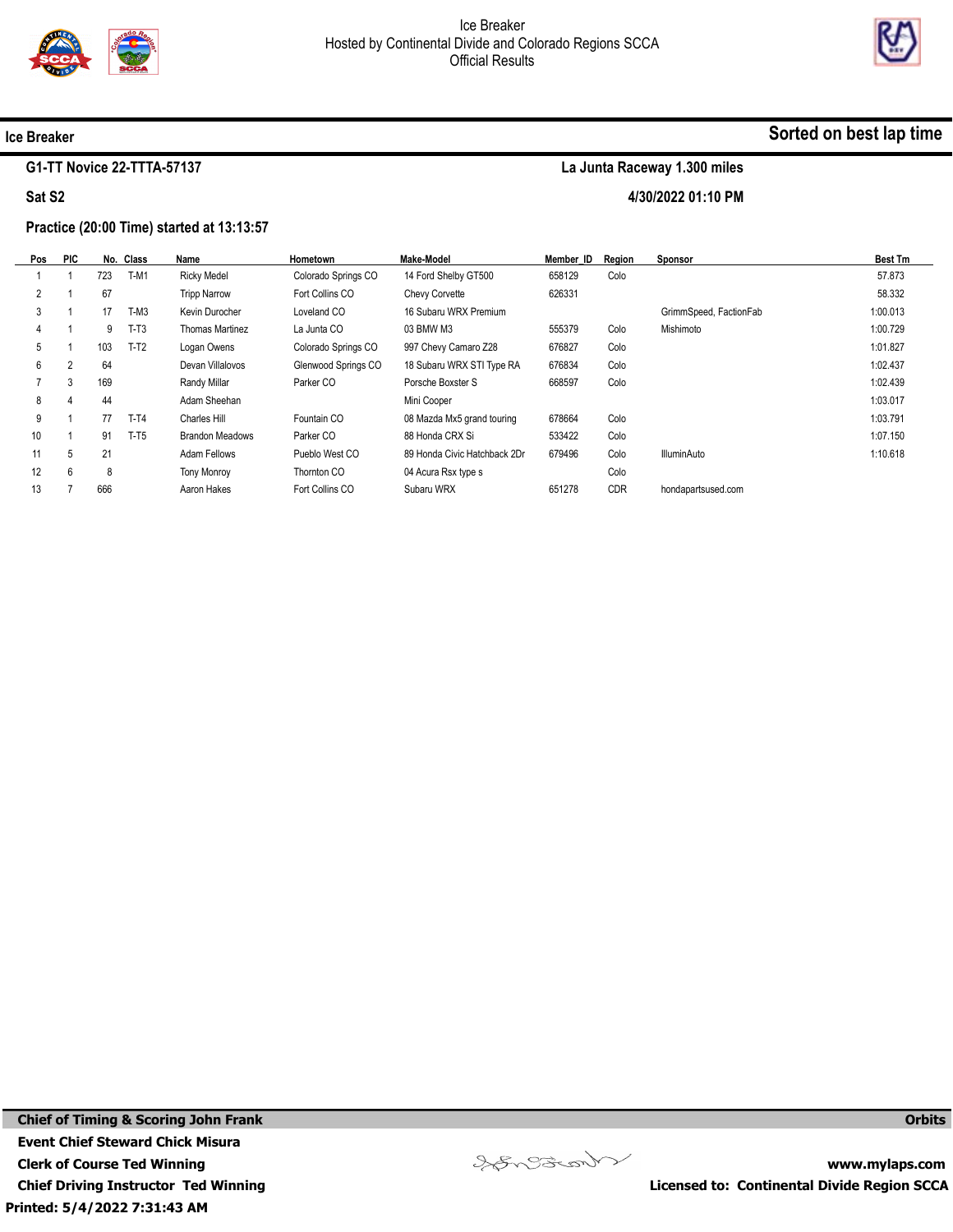

La Junta Raceway 1.300 miles

4/30/2022 01:10 PM



#### Ice Breaker

#### G1-TT Novice 22-TTTA-57137

Sat S2

# Practice (20:00 Time) started at 13:13:57

| Pos | <b>PIC</b> |     | No. Class | Name                   | Hometown            | <b>Make-Model</b>            | Member ID | Region     | <u>Sponsor</u>         | <b>Best Tm</b> |
|-----|------------|-----|-----------|------------------------|---------------------|------------------------------|-----------|------------|------------------------|----------------|
|     |            | 723 | $T-M1$    | <b>Ricky Medel</b>     | Colorado Springs CO | 14 Ford Shelby GT500         | 658129    | Colo       |                        | 57.873         |
|     |            | 67  |           | <b>Tripp Narrow</b>    | Fort Collins CO     | Chevy Corvette               | 626331    |            |                        | 58.332         |
| 3   |            | 17  | $T-M3$    | Kevin Durocher         | Loveland CO         | 16 Subaru WRX Premium        |           |            | GrimmSpeed, FactionFab | 1:00.013       |
|     |            | 9   | $T-T3$    | Thomas Martinez        | La Junta CO         | 03 BMW M3                    | 555379    | Colo       | Mishimoto              | 1:00.729       |
| 5   |            | 103 | $T-T2$    | Logan Owens            | Colorado Springs CO | 997 Chevy Camaro Z28         | 676827    | Colo       |                        | 1:01.827       |
| 6   | 2          | 64  |           | Devan Villalovos       | Glenwood Springs CO | 18 Subaru WRX STI Type RA    | 676834    | Colo       |                        | 1:02.437       |
|     | 3          | 169 |           | Randy Millar           | Parker CO           | Porsche Boxster S            | 668597    | Colo       |                        | 1:02.439       |
| 8   | 4          | 44  |           | Adam Sheehan           |                     | Mini Cooper                  |           |            |                        | 1:03.017       |
| 9   |            | 77  | $T-T4$    | <b>Charles Hill</b>    | Fountain CO         | 08 Mazda Mx5 grand touring   | 678664    | Colo       |                        | 1:03.791       |
| 10  |            | 91  | $T-T5$    | <b>Brandon Meadows</b> | Parker CO           | 88 Honda CRX Si              | 533422    | Colo       |                        | 1:07.150       |
| 11  | 5          | 21  |           | Adam Fellows           | Pueblo West CO      | 89 Honda Civic Hatchback 2Dr | 679496    | Colo       | <b>IlluminAuto</b>     | 1:10.618       |
| 12  | 6          | 8   |           | <b>Tony Monroy</b>     | Thornton CO         | 04 Acura Rsx type s          |           | Colo       |                        |                |
| 13  |            | 666 |           | Aaron Hakes            | Fort Collins CO     | Subaru WRX                   | 651278    | <b>CDR</b> | hondapartsused.com     |                |

Songonal

www.mylaps.com Licensed to: Continental Divide Region SCCA

**Orbits** 

## Sorted on best lap time